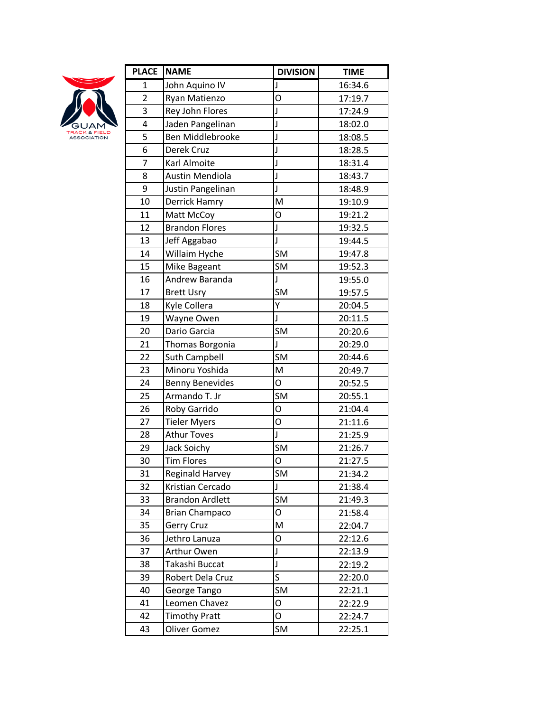

| <b>PLACE</b>   | <b>NAME</b>             | <b>DIVISION</b> | <b>TIME</b> |
|----------------|-------------------------|-----------------|-------------|
| 1              | John Aquino IV          | J               | 16:34.6     |
| $\overline{2}$ | Ryan Matienzo           | O               | 17:19.7     |
| 3              | Rey John Flores         | J               | 17:24.9     |
| 4              | Jaden Pangelinan        | J               | 18:02.0     |
| 5              | <b>Ben Middlebrooke</b> | J               | 18:08.5     |
| 6              | Derek Cruz              | J               | 18:28.5     |
| $\overline{7}$ | Karl Almoite            | J               | 18:31.4     |
| 8              | Austin Mendiola         | J               | 18:43.7     |
| 9              | Justin Pangelinan       | J               | 18:48.9     |
| 10             | Derrick Hamry           | M               | 19:10.9     |
| 11             | Matt McCoy              | O               | 19:21.2     |
| 12             | <b>Brandon Flores</b>   | J               | 19:32.5     |
| 13             | Jeff Aggabao            | J               | 19:44.5     |
| 14             | Willaim Hyche           | <b>SM</b>       | 19:47.8     |
| 15             | Mike Bageant            | <b>SM</b>       | 19:52.3     |
| 16             | Andrew Baranda          | J               | 19:55.0     |
| 17             | <b>Brett Usry</b>       | <b>SM</b>       | 19:57.5     |
| 18             | Kyle Collera            | Υ               | 20:04.5     |
| 19             | Wayne Owen              | J               | 20:11.5     |
| 20             | Dario Garcia            | <b>SM</b>       | 20:20.6     |
| 21             | Thomas Borgonia         | J               | 20:29.0     |
| 22             | <b>Suth Campbell</b>    | <b>SM</b>       | 20:44.6     |
| 23             | Minoru Yoshida          | M               | 20:49.7     |
| 24             | <b>Benny Benevides</b>  | O               | 20:52.5     |
| 25             | Armando T. Jr           | <b>SM</b>       | 20:55.1     |
| 26             | Roby Garrido            | O               | 21:04.4     |
| 27             | <b>Tieler Myers</b>     | O               | 21:11.6     |
| 28             | <b>Athur Toves</b>      | J               | 21:25.9     |
| 29             | Jack Soichy             | SM              | 21:26.7     |
| 30             | <b>Tim Flores</b>       | O               | 21:27.5     |
| 31             | Reginald Harvey         | SM              | 21:34.2     |
| 32             | Kristian Cercado        | J               | 21:38.4     |
| 33             | <b>Brandon Ardlett</b>  | SM              | 21:49.3     |
| 34             | <b>Brian Champaco</b>   | O               | 21:58.4     |
| 35             | Gerry Cruz              | M               | 22:04.7     |
| 36             | Jethro Lanuza           | O               | 22:12.6     |
| 37             | Arthur Owen             | J               | 22:13.9     |
| 38             | Takashi Buccat          | J               | 22:19.2     |
| 39             | Robert Dela Cruz        | S               | 22:20.0     |
| 40             | George Tango            | <b>SM</b>       | 22:21.1     |
| 41             | Leomen Chavez           | O               | 22:22.9     |
| 42             | <b>Timothy Pratt</b>    | O               | 22:24.7     |
| 43             | <b>Oliver Gomez</b>     | SM              | 22:25.1     |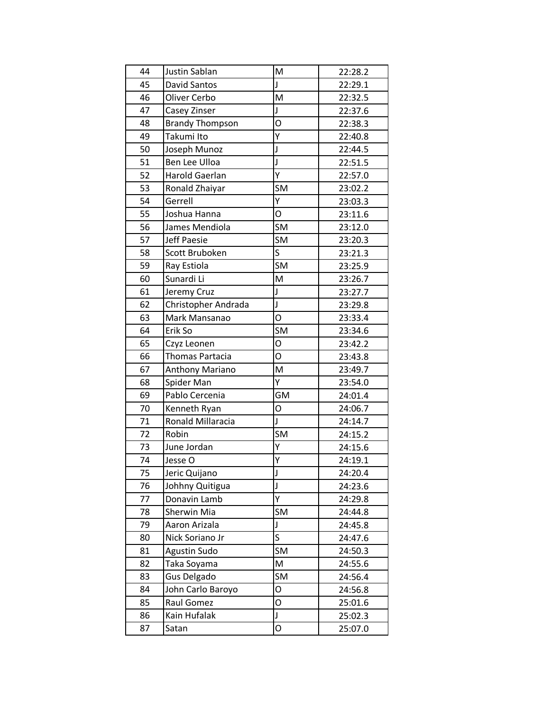| 45<br>J<br>David Santos<br>22:29.1<br>46<br>Oliver Cerbo<br>M<br>22:32.5<br>47<br>J<br>Casey Zinser<br>22:37.6<br>O<br>48<br><b>Brandy Thompson</b><br>22:38.3<br>Υ<br>49<br>Takumi Ito<br>22:40.8<br>J<br>50<br>Joseph Munoz<br>22:44.5<br>51<br>J<br><b>Ben Lee Ulloa</b><br>22:51.5<br>52<br>Ý<br>Harold Gaerlan<br>22:57.0<br>53<br>SM<br>Ronald Zhaiyar<br>23:02.2<br>54<br>Υ<br>Gerrell<br>23:03.3<br>$\overline{O}$<br>55<br>Joshua Hanna<br>23:11.6<br>56<br><b>SM</b><br>James Mendiola<br>23:12.0<br>57<br><b>SM</b><br><b>Jeff Paesie</b><br>23:20.3<br>S<br>58<br>Scott Bruboken<br>23:21.3<br>59<br>SM<br>Ray Estiola<br>23:25.9<br>60<br>M<br>Sunardi Li<br>23:26.7<br>61<br>J<br>Jeremy Cruz<br>23:27.7<br>62<br>J<br>23:29.8<br>Christopher Andrada<br>O<br>63<br>Mark Mansanao<br>23:33.4<br>SM<br>64<br>Erik So<br>23:34.6<br>O<br>65<br>Czyz Leonen<br>23:42.2<br>O<br>66<br>Thomas Partacia<br>23:43.8<br>67<br>M<br>23:49.7<br>Anthony Mariano<br>Υ<br>68<br>Spider Man<br>23:54.0<br>Pablo Cercenia<br>69<br>GM<br>24:01.4<br>O<br>70<br>24:06.7<br>Kenneth Ryan<br>71<br>Ronald Millaracia<br>J<br>24:14.7<br>72<br>SM<br>Robin<br>24:15.2<br>Y<br>73<br>June Jordan<br>24:15.6<br>Υ<br>74<br>Jesse O<br>24:19.1<br>75<br>Jeric Quijano<br>J<br>24:20.4<br>76<br>Johhny Quitigua<br>J<br>24:23.6<br>Y<br>77<br>Donavin Lamb<br>24:29.8<br>SM<br>78<br>Sherwin Mia<br>24:44.8<br>79<br>Aaron Arizala<br>J<br>24:45.8<br>$\mathsf S$<br>80<br>Nick Soriano Jr<br>24:47.6<br>SM<br>81<br><b>Agustin Sudo</b><br>24:50.3<br>82<br>M<br>Taka Soyama<br>24:55.6<br><b>SM</b><br>83<br>Gus Delgado<br>24:56.4<br>84<br>John Carlo Baroyo<br>O<br>24:56.8<br>$\overline{O}$<br>85<br>Raul Gomez<br>25:01.6<br>86<br>J<br>Kain Hufalak<br>25:02.3 | 44 | Justin Sablan | M | 22:28.2 |
|-----------------------------------------------------------------------------------------------------------------------------------------------------------------------------------------------------------------------------------------------------------------------------------------------------------------------------------------------------------------------------------------------------------------------------------------------------------------------------------------------------------------------------------------------------------------------------------------------------------------------------------------------------------------------------------------------------------------------------------------------------------------------------------------------------------------------------------------------------------------------------------------------------------------------------------------------------------------------------------------------------------------------------------------------------------------------------------------------------------------------------------------------------------------------------------------------------------------------------------------------------------------------------------------------------------------------------------------------------------------------------------------------------------------------------------------------------------------------------------------------------------------------------------------------------------------------------------------------------------------------------------------------------------------------------------------------------------------------------------------------------------------|----|---------------|---|---------|
|                                                                                                                                                                                                                                                                                                                                                                                                                                                                                                                                                                                                                                                                                                                                                                                                                                                                                                                                                                                                                                                                                                                                                                                                                                                                                                                                                                                                                                                                                                                                                                                                                                                                                                                                                                 |    |               |   |         |
|                                                                                                                                                                                                                                                                                                                                                                                                                                                                                                                                                                                                                                                                                                                                                                                                                                                                                                                                                                                                                                                                                                                                                                                                                                                                                                                                                                                                                                                                                                                                                                                                                                                                                                                                                                 |    |               |   |         |
|                                                                                                                                                                                                                                                                                                                                                                                                                                                                                                                                                                                                                                                                                                                                                                                                                                                                                                                                                                                                                                                                                                                                                                                                                                                                                                                                                                                                                                                                                                                                                                                                                                                                                                                                                                 |    |               |   |         |
|                                                                                                                                                                                                                                                                                                                                                                                                                                                                                                                                                                                                                                                                                                                                                                                                                                                                                                                                                                                                                                                                                                                                                                                                                                                                                                                                                                                                                                                                                                                                                                                                                                                                                                                                                                 |    |               |   |         |
|                                                                                                                                                                                                                                                                                                                                                                                                                                                                                                                                                                                                                                                                                                                                                                                                                                                                                                                                                                                                                                                                                                                                                                                                                                                                                                                                                                                                                                                                                                                                                                                                                                                                                                                                                                 |    |               |   |         |
|                                                                                                                                                                                                                                                                                                                                                                                                                                                                                                                                                                                                                                                                                                                                                                                                                                                                                                                                                                                                                                                                                                                                                                                                                                                                                                                                                                                                                                                                                                                                                                                                                                                                                                                                                                 |    |               |   |         |
|                                                                                                                                                                                                                                                                                                                                                                                                                                                                                                                                                                                                                                                                                                                                                                                                                                                                                                                                                                                                                                                                                                                                                                                                                                                                                                                                                                                                                                                                                                                                                                                                                                                                                                                                                                 |    |               |   |         |
|                                                                                                                                                                                                                                                                                                                                                                                                                                                                                                                                                                                                                                                                                                                                                                                                                                                                                                                                                                                                                                                                                                                                                                                                                                                                                                                                                                                                                                                                                                                                                                                                                                                                                                                                                                 |    |               |   |         |
|                                                                                                                                                                                                                                                                                                                                                                                                                                                                                                                                                                                                                                                                                                                                                                                                                                                                                                                                                                                                                                                                                                                                                                                                                                                                                                                                                                                                                                                                                                                                                                                                                                                                                                                                                                 |    |               |   |         |
|                                                                                                                                                                                                                                                                                                                                                                                                                                                                                                                                                                                                                                                                                                                                                                                                                                                                                                                                                                                                                                                                                                                                                                                                                                                                                                                                                                                                                                                                                                                                                                                                                                                                                                                                                                 |    |               |   |         |
|                                                                                                                                                                                                                                                                                                                                                                                                                                                                                                                                                                                                                                                                                                                                                                                                                                                                                                                                                                                                                                                                                                                                                                                                                                                                                                                                                                                                                                                                                                                                                                                                                                                                                                                                                                 |    |               |   |         |
|                                                                                                                                                                                                                                                                                                                                                                                                                                                                                                                                                                                                                                                                                                                                                                                                                                                                                                                                                                                                                                                                                                                                                                                                                                                                                                                                                                                                                                                                                                                                                                                                                                                                                                                                                                 |    |               |   |         |
|                                                                                                                                                                                                                                                                                                                                                                                                                                                                                                                                                                                                                                                                                                                                                                                                                                                                                                                                                                                                                                                                                                                                                                                                                                                                                                                                                                                                                                                                                                                                                                                                                                                                                                                                                                 |    |               |   |         |
|                                                                                                                                                                                                                                                                                                                                                                                                                                                                                                                                                                                                                                                                                                                                                                                                                                                                                                                                                                                                                                                                                                                                                                                                                                                                                                                                                                                                                                                                                                                                                                                                                                                                                                                                                                 |    |               |   |         |
|                                                                                                                                                                                                                                                                                                                                                                                                                                                                                                                                                                                                                                                                                                                                                                                                                                                                                                                                                                                                                                                                                                                                                                                                                                                                                                                                                                                                                                                                                                                                                                                                                                                                                                                                                                 |    |               |   |         |
|                                                                                                                                                                                                                                                                                                                                                                                                                                                                                                                                                                                                                                                                                                                                                                                                                                                                                                                                                                                                                                                                                                                                                                                                                                                                                                                                                                                                                                                                                                                                                                                                                                                                                                                                                                 |    |               |   |         |
|                                                                                                                                                                                                                                                                                                                                                                                                                                                                                                                                                                                                                                                                                                                                                                                                                                                                                                                                                                                                                                                                                                                                                                                                                                                                                                                                                                                                                                                                                                                                                                                                                                                                                                                                                                 |    |               |   |         |
|                                                                                                                                                                                                                                                                                                                                                                                                                                                                                                                                                                                                                                                                                                                                                                                                                                                                                                                                                                                                                                                                                                                                                                                                                                                                                                                                                                                                                                                                                                                                                                                                                                                                                                                                                                 |    |               |   |         |
|                                                                                                                                                                                                                                                                                                                                                                                                                                                                                                                                                                                                                                                                                                                                                                                                                                                                                                                                                                                                                                                                                                                                                                                                                                                                                                                                                                                                                                                                                                                                                                                                                                                                                                                                                                 |    |               |   |         |
|                                                                                                                                                                                                                                                                                                                                                                                                                                                                                                                                                                                                                                                                                                                                                                                                                                                                                                                                                                                                                                                                                                                                                                                                                                                                                                                                                                                                                                                                                                                                                                                                                                                                                                                                                                 |    |               |   |         |
|                                                                                                                                                                                                                                                                                                                                                                                                                                                                                                                                                                                                                                                                                                                                                                                                                                                                                                                                                                                                                                                                                                                                                                                                                                                                                                                                                                                                                                                                                                                                                                                                                                                                                                                                                                 |    |               |   |         |
|                                                                                                                                                                                                                                                                                                                                                                                                                                                                                                                                                                                                                                                                                                                                                                                                                                                                                                                                                                                                                                                                                                                                                                                                                                                                                                                                                                                                                                                                                                                                                                                                                                                                                                                                                                 |    |               |   |         |
|                                                                                                                                                                                                                                                                                                                                                                                                                                                                                                                                                                                                                                                                                                                                                                                                                                                                                                                                                                                                                                                                                                                                                                                                                                                                                                                                                                                                                                                                                                                                                                                                                                                                                                                                                                 |    |               |   |         |
|                                                                                                                                                                                                                                                                                                                                                                                                                                                                                                                                                                                                                                                                                                                                                                                                                                                                                                                                                                                                                                                                                                                                                                                                                                                                                                                                                                                                                                                                                                                                                                                                                                                                                                                                                                 |    |               |   |         |
|                                                                                                                                                                                                                                                                                                                                                                                                                                                                                                                                                                                                                                                                                                                                                                                                                                                                                                                                                                                                                                                                                                                                                                                                                                                                                                                                                                                                                                                                                                                                                                                                                                                                                                                                                                 |    |               |   |         |
|                                                                                                                                                                                                                                                                                                                                                                                                                                                                                                                                                                                                                                                                                                                                                                                                                                                                                                                                                                                                                                                                                                                                                                                                                                                                                                                                                                                                                                                                                                                                                                                                                                                                                                                                                                 |    |               |   |         |
|                                                                                                                                                                                                                                                                                                                                                                                                                                                                                                                                                                                                                                                                                                                                                                                                                                                                                                                                                                                                                                                                                                                                                                                                                                                                                                                                                                                                                                                                                                                                                                                                                                                                                                                                                                 |    |               |   |         |
|                                                                                                                                                                                                                                                                                                                                                                                                                                                                                                                                                                                                                                                                                                                                                                                                                                                                                                                                                                                                                                                                                                                                                                                                                                                                                                                                                                                                                                                                                                                                                                                                                                                                                                                                                                 |    |               |   |         |
|                                                                                                                                                                                                                                                                                                                                                                                                                                                                                                                                                                                                                                                                                                                                                                                                                                                                                                                                                                                                                                                                                                                                                                                                                                                                                                                                                                                                                                                                                                                                                                                                                                                                                                                                                                 |    |               |   |         |
|                                                                                                                                                                                                                                                                                                                                                                                                                                                                                                                                                                                                                                                                                                                                                                                                                                                                                                                                                                                                                                                                                                                                                                                                                                                                                                                                                                                                                                                                                                                                                                                                                                                                                                                                                                 |    |               |   |         |
|                                                                                                                                                                                                                                                                                                                                                                                                                                                                                                                                                                                                                                                                                                                                                                                                                                                                                                                                                                                                                                                                                                                                                                                                                                                                                                                                                                                                                                                                                                                                                                                                                                                                                                                                                                 |    |               |   |         |
|                                                                                                                                                                                                                                                                                                                                                                                                                                                                                                                                                                                                                                                                                                                                                                                                                                                                                                                                                                                                                                                                                                                                                                                                                                                                                                                                                                                                                                                                                                                                                                                                                                                                                                                                                                 |    |               |   |         |
|                                                                                                                                                                                                                                                                                                                                                                                                                                                                                                                                                                                                                                                                                                                                                                                                                                                                                                                                                                                                                                                                                                                                                                                                                                                                                                                                                                                                                                                                                                                                                                                                                                                                                                                                                                 |    |               |   |         |
|                                                                                                                                                                                                                                                                                                                                                                                                                                                                                                                                                                                                                                                                                                                                                                                                                                                                                                                                                                                                                                                                                                                                                                                                                                                                                                                                                                                                                                                                                                                                                                                                                                                                                                                                                                 |    |               |   |         |
|                                                                                                                                                                                                                                                                                                                                                                                                                                                                                                                                                                                                                                                                                                                                                                                                                                                                                                                                                                                                                                                                                                                                                                                                                                                                                                                                                                                                                                                                                                                                                                                                                                                                                                                                                                 |    |               |   |         |
|                                                                                                                                                                                                                                                                                                                                                                                                                                                                                                                                                                                                                                                                                                                                                                                                                                                                                                                                                                                                                                                                                                                                                                                                                                                                                                                                                                                                                                                                                                                                                                                                                                                                                                                                                                 |    |               |   |         |
|                                                                                                                                                                                                                                                                                                                                                                                                                                                                                                                                                                                                                                                                                                                                                                                                                                                                                                                                                                                                                                                                                                                                                                                                                                                                                                                                                                                                                                                                                                                                                                                                                                                                                                                                                                 |    |               |   |         |
|                                                                                                                                                                                                                                                                                                                                                                                                                                                                                                                                                                                                                                                                                                                                                                                                                                                                                                                                                                                                                                                                                                                                                                                                                                                                                                                                                                                                                                                                                                                                                                                                                                                                                                                                                                 |    |               |   |         |
|                                                                                                                                                                                                                                                                                                                                                                                                                                                                                                                                                                                                                                                                                                                                                                                                                                                                                                                                                                                                                                                                                                                                                                                                                                                                                                                                                                                                                                                                                                                                                                                                                                                                                                                                                                 |    |               |   |         |
|                                                                                                                                                                                                                                                                                                                                                                                                                                                                                                                                                                                                                                                                                                                                                                                                                                                                                                                                                                                                                                                                                                                                                                                                                                                                                                                                                                                                                                                                                                                                                                                                                                                                                                                                                                 |    |               |   |         |
|                                                                                                                                                                                                                                                                                                                                                                                                                                                                                                                                                                                                                                                                                                                                                                                                                                                                                                                                                                                                                                                                                                                                                                                                                                                                                                                                                                                                                                                                                                                                                                                                                                                                                                                                                                 |    |               |   |         |
|                                                                                                                                                                                                                                                                                                                                                                                                                                                                                                                                                                                                                                                                                                                                                                                                                                                                                                                                                                                                                                                                                                                                                                                                                                                                                                                                                                                                                                                                                                                                                                                                                                                                                                                                                                 |    |               |   |         |
| Satan                                                                                                                                                                                                                                                                                                                                                                                                                                                                                                                                                                                                                                                                                                                                                                                                                                                                                                                                                                                                                                                                                                                                                                                                                                                                                                                                                                                                                                                                                                                                                                                                                                                                                                                                                           | 87 |               | O | 25:07.0 |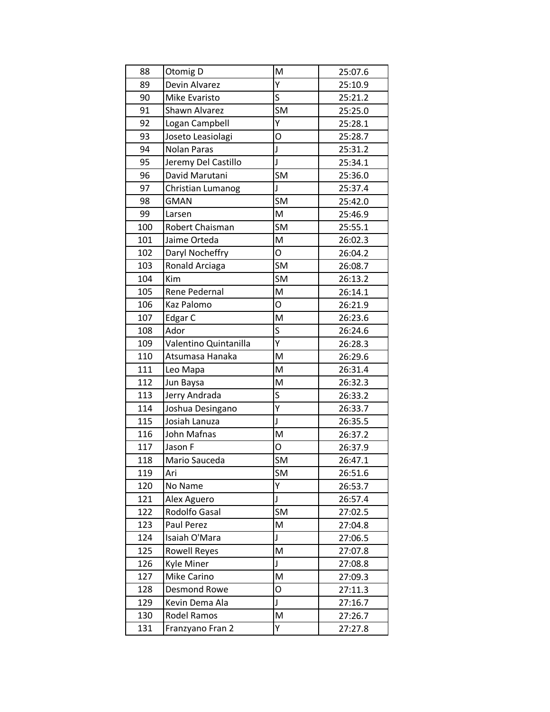| 88  | Otomig D              | M            | 25:07.6 |
|-----|-----------------------|--------------|---------|
| 89  | Devin Alvarez         | Y            | 25:10.9 |
| 90  | Mike Evaristo         | S            | 25:21.2 |
| 91  | Shawn Alvarez         | <b>SM</b>    | 25:25.0 |
| 92  | Logan Campbell        | Υ            | 25:28.1 |
| 93  | Joseto Leasiolagi     | O            | 25:28.7 |
| 94  | <b>Nolan Paras</b>    | $\mathsf{J}$ | 25:31.2 |
| 95  | Jeremy Del Castillo   | J            | 25:34.1 |
| 96  | David Marutani        | <b>SM</b>    | 25:36.0 |
| 97  | Christian Lumanog     | J            | 25:37.4 |
| 98  | <b>GMAN</b>           | SM           | 25:42.0 |
| 99  | Larsen                | M            | 25:46.9 |
| 100 | Robert Chaisman       | <b>SM</b>    | 25:55.1 |
| 101 | Jaime Orteda          | M            | 26:02.3 |
| 102 | Daryl Nocheffry       | O            | 26:04.2 |
| 103 | Ronald Arciaga        | SM           | 26:08.7 |
| 104 | Kim                   | <b>SM</b>    | 26:13.2 |
| 105 | Rene Pedernal         | M            | 26:14.1 |
| 106 | <b>Kaz Palomo</b>     | O            | 26:21.9 |
| 107 | Edgar C               | M            | 26:23.6 |
| 108 | Ador                  | S            | 26:24.6 |
| 109 | Valentino Quintanilla | Ý            | 26:28.3 |
| 110 | Atsumasa Hanaka       | M            | 26:29.6 |
| 111 | Leo Mapa              | M            | 26:31.4 |
| 112 | Jun Baysa             | M            | 26:32.3 |
| 113 | Jerry Andrada         | S            | 26:33.2 |
| 114 | Joshua Desingano      | Y            | 26:33.7 |
| 115 | Josiah Lanuza         | J            | 26:35.5 |
| 116 | John Mafnas           | M            | 26:37.2 |
| 117 | Jason F               | O            | 26:37.9 |
| 118 | Mario Sauceda         | SM           | 26:47.1 |
| 119 | Ari                   | <b>SM</b>    | 26:51.6 |
| 120 | No Name               | Y            | 26:53.7 |
| 121 | Alex Aguero           | J            | 26:57.4 |
| 122 | Rodolfo Gasal         | <b>SM</b>    | 27:02.5 |
| 123 | Paul Perez            | M            | 27:04.8 |
| 124 | Isaiah O'Mara         | $\mathsf J$  | 27:06.5 |
| 125 | <b>Rowell Reyes</b>   | M            | 27:07.8 |
| 126 | Kyle Miner            | J            | 27:08.8 |
| 127 | Mike Carino           | M            | 27:09.3 |
| 128 | <b>Desmond Rowe</b>   | O            | 27:11.3 |
| 129 | Kevin Dema Ala        | J            | 27:16.7 |
| 130 | Rodel Ramos           | M            | 27:26.7 |
| 131 | Franzyano Fran 2      | Υ            | 27:27.8 |
|     |                       |              |         |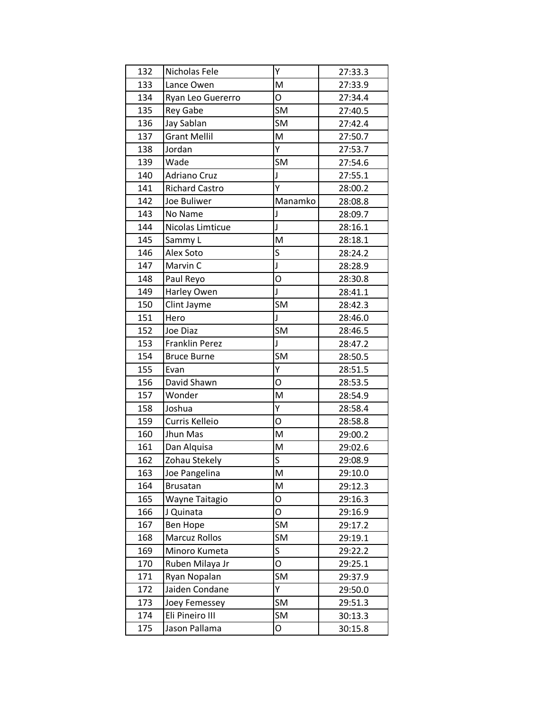| 132 | Nicholas Fele         | Υ         | 27:33.3 |
|-----|-----------------------|-----------|---------|
| 133 | Lance Owen            | M         | 27:33.9 |
| 134 | Ryan Leo Guererro     | O         | 27:34.4 |
| 135 | <b>Rey Gabe</b>       | <b>SM</b> | 27:40.5 |
| 136 | Jay Sablan            | SM        | 27:42.4 |
| 137 | <b>Grant Mellil</b>   | M         | 27:50.7 |
| 138 | Jordan                | Y         | 27:53.7 |
| 139 | Wade                  | <b>SM</b> | 27:54.6 |
| 140 | <b>Adriano Cruz</b>   | J         | 27:55.1 |
| 141 | <b>Richard Castro</b> | Ý         | 28:00.2 |
| 142 | Joe Buliwer           | Manamko   | 28:08.8 |
| 143 | No Name               | J         | 28:09.7 |
| 144 | Nicolas Limticue      | J         | 28:16.1 |
| 145 | Sammy L               | M         | 28:18.1 |
| 146 | Alex Soto             | S         | 28:24.2 |
| 147 | Marvin C              | J         | 28:28.9 |
| 148 | Paul Reyo             | O         | 28:30.8 |
| 149 | Harley Owen           | J         | 28:41.1 |
| 150 | Clint Jayme           | SM        | 28:42.3 |
| 151 | Hero                  | J         | 28:46.0 |
| 152 | Joe Diaz              | SM        | 28:46.5 |
| 153 | Franklin Perez        | J         | 28:47.2 |
| 154 | <b>Bruce Burne</b>    | <b>SM</b> | 28:50.5 |
| 155 | Evan                  | Υ         | 28:51.5 |
| 156 | David Shawn           | O         | 28:53.5 |
| 157 | Wonder                | M         | 28:54.9 |
| 158 | Joshua                | Y         | 28:58.4 |
| 159 | Curris Kelleio        | O         | 28:58.8 |
| 160 | Jhun Mas              | M         | 29:00.2 |
| 161 | Dan Alquisa           | M         | 29:02.6 |
| 162 | Zohau Stekely         | S         | 29:08.9 |
| 163 | Joe Pangelina         | M         | 29:10.0 |
| 164 | <b>Brusatan</b>       | M         | 29:12.3 |
| 165 | Wayne Taitagio        | O         | 29:16.3 |
| 166 | J Quinata             | O         | 29:16.9 |
| 167 | <b>Ben Hope</b>       | SM        | 29:17.2 |
| 168 | Marcuz Rollos         | SM        | 29:19.1 |
| 169 | Minoro Kumeta         | S         | 29:22.2 |
| 170 | Ruben Milaya Jr       | O         | 29:25.1 |
| 171 | Ryan Nopalan          | SM        | 29:37.9 |
| 172 | Jaiden Condane        | Υ         | 29:50.0 |
| 173 | Joey Femessey         | SM        | 29:51.3 |
| 174 | Eli Pineiro III       | SM        | 30:13.3 |
| 175 | Jason Pallama         | 0         | 30:15.8 |
|     |                       |           |         |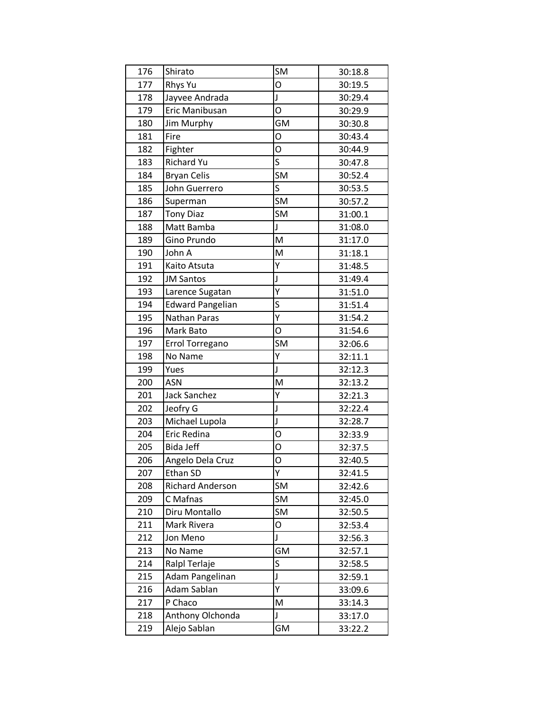| 176 | Shirato                 | <b>SM</b> | 30:18.8 |
|-----|-------------------------|-----------|---------|
| 177 | <b>Rhys Yu</b>          | O         | 30:19.5 |
| 178 | Jayvee Andrada          | J         | 30:29.4 |
| 179 | Eric Manibusan          | O         | 30:29.9 |
| 180 | Jim Murphy              | <b>GM</b> | 30:30.8 |
| 181 | Fire                    | O         | 30:43.4 |
| 182 | Fighter                 | O         | 30:44.9 |
| 183 | <b>Richard Yu</b>       | S         | 30:47.8 |
| 184 | <b>Bryan Celis</b>      | <b>SM</b> | 30:52.4 |
| 185 | John Guerrero           | S         | 30:53.5 |
| 186 | Superman                | <b>SM</b> | 30:57.2 |
| 187 | <b>Tony Diaz</b>        | <b>SM</b> | 31:00.1 |
| 188 | Matt Bamba              | J         | 31:08.0 |
| 189 | Gino Prundo             | M         | 31:17.0 |
| 190 | John A                  | M         | 31:18.1 |
| 191 | Kaito Atsuta            | Υ         | 31:48.5 |
| 192 | <b>JM Santos</b>        | J         | 31:49.4 |
| 193 | Larence Sugatan         | Υ         | 31:51.0 |
| 194 | <b>Edward Pangelian</b> | S         | 31:51.4 |
| 195 | Nathan Paras            | Ý         | 31:54.2 |
| 196 | Mark Bato               | O         | 31:54.6 |
| 197 | Errol Torregano         | <b>SM</b> | 32:06.6 |
| 198 | No Name                 | Υ         | 32:11.1 |
| 199 | Yues                    | J         | 32:12.3 |
| 200 | ASN                     | M         | 32:13.2 |
| 201 | <b>Jack Sanchez</b>     | Υ         | 32:21.3 |
| 202 | Jeofry G                | J         | 32:22.4 |
| 203 | Michael Lupola          | J         | 32:28.7 |
| 204 | Eric Redina             | O         | 32:33.9 |
| 205 | <b>Bida Jeff</b>        | O         | 32:37.5 |
| 206 | Angelo Dela Cruz        | O         | 32:40.5 |
| 207 | Ethan SD                | Υ         | 32:41.5 |
| 208 | <b>Richard Anderson</b> | SM        | 32:42.6 |
| 209 | C Mafnas                | <b>SM</b> | 32:45.0 |
| 210 | Diru Montallo           | SM        | 32:50.5 |
| 211 | Mark Rivera             | O         | 32:53.4 |
| 212 | Jon Meno                | J         | 32:56.3 |
| 213 | No Name                 | GM        | 32:57.1 |
| 214 | Ralpl Terlaje           | S         | 32:58.5 |
| 215 | Adam Pangelinan         | J         | 32:59.1 |
| 216 | Adam Sablan             | Υ         | 33:09.6 |
| 217 | P Chaco                 | M         | 33:14.3 |
|     |                         |           |         |
| 218 | Anthony Olchonda        | Ţ         | 33:17.0 |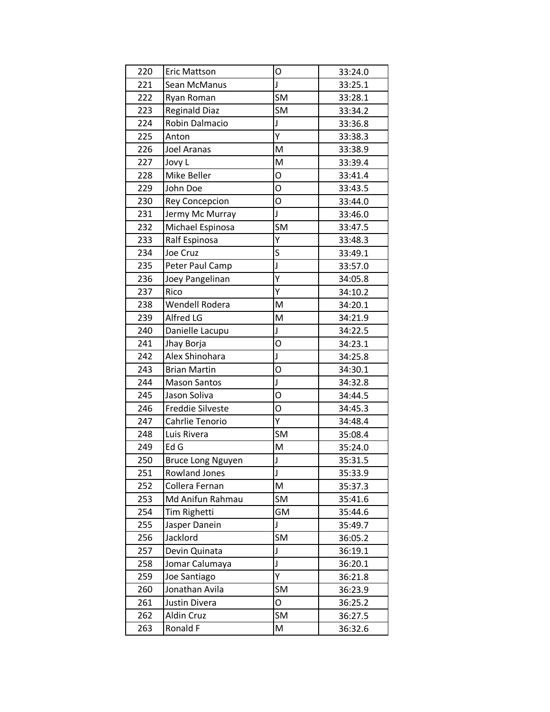| 220 | <b>Eric Mattson</b>      | O  | 33:24.0 |
|-----|--------------------------|----|---------|
| 221 | Sean McManus             | J  | 33:25.1 |
| 222 | Ryan Roman               | SM | 33:28.1 |
| 223 | <b>Reginald Diaz</b>     | SM | 33:34.2 |
| 224 | Robin Dalmacio           | J  | 33:36.8 |
| 225 | Anton                    | Υ  | 33:38.3 |
| 226 | Joel Aranas              | M  | 33:38.9 |
| 227 | Jovy L                   | M  | 33:39.4 |
| 228 | Mike Beller              | O  | 33:41.4 |
| 229 | John Doe                 | O  | 33:43.5 |
| 230 | <b>Rey Concepcion</b>    | O  | 33:44.0 |
| 231 | Jermy Mc Murray          | J  | 33:46.0 |
| 232 | Michael Espinosa         | SM | 33:47.5 |
| 233 | Ralf Espinosa            | Y  | 33:48.3 |
| 234 | Joe Cruz                 | S  | 33:49.1 |
| 235 | Peter Paul Camp          | J  | 33:57.0 |
| 236 | Joey Pangelinan          | Ý  | 34:05.8 |
| 237 | Rico                     | Υ  | 34:10.2 |
| 238 | <b>Wendell Rodera</b>    | M  | 34:20.1 |
| 239 | Alfred LG                | M  | 34:21.9 |
| 240 | Danielle Lacupu          | J  | 34:22.5 |
| 241 | Jhay Borja               | O  | 34:23.1 |
| 242 | Alex Shinohara           | J  | 34:25.8 |
| 243 | <b>Brian Martin</b>      | O  | 34:30.1 |
| 244 | <b>Mason Santos</b>      | J  | 34:32.8 |
| 245 | Jason Soliva             | O  | 34:44.5 |
| 246 | <b>Freddie Silveste</b>  | O  | 34:45.3 |
| 247 | Cahrlie Tenorio          | Υ  | 34:48.4 |
| 248 | Luis Rivera              | SM | 35:08.4 |
| 249 | Ed G                     | M  | 35:24.0 |
| 250 | <b>Bruce Long Nguyen</b> | J  | 35:31.5 |
| 251 | <b>Rowland Jones</b>     | J  | 35:33.9 |
| 252 | Collera Fernan           | M  | 35:37.3 |
| 253 | Md Anifun Rahmau         | SM | 35:41.6 |
| 254 | Tim Righetti             | GM | 35:44.6 |
| 255 | Jasper Danein            | J  | 35:49.7 |
| 256 | Jacklord                 | SM | 36:05.2 |
| 257 | Devin Quinata            | J  | 36:19.1 |
| 258 | Jomar Calumaya           | J  | 36:20.1 |
| 259 | Joe Santiago             | Ÿ  | 36:21.8 |
| 260 | Jonathan Avila           | SM | 36:23.9 |
| 261 | Justin Divera            | O  | 36:25.2 |
| 262 | Aldin Cruz               | SM | 36:27.5 |
| 263 | Ronald F                 | M  | 36:32.6 |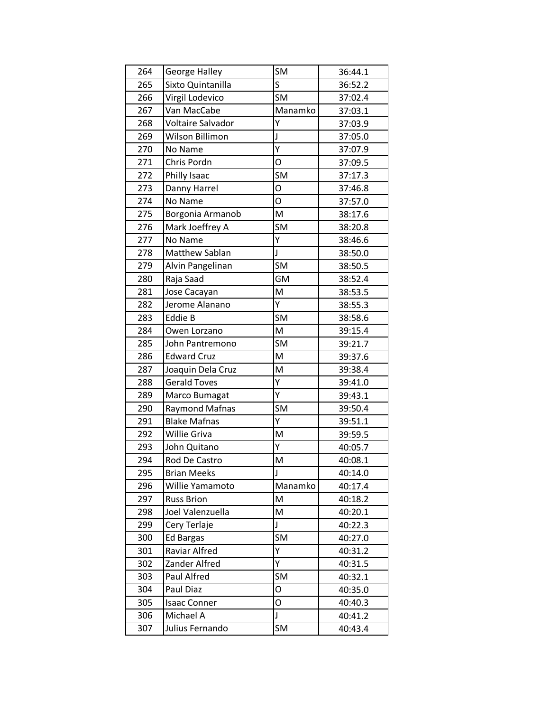| 264 | George Halley         | <b>SM</b>    | 36:44.1 |
|-----|-----------------------|--------------|---------|
| 265 | Sixto Quintanilla     | S            | 36:52.2 |
| 266 | Virgil Lodevico       | SM           | 37:02.4 |
| 267 | Van MacCabe           | Manamko      | 37:03.1 |
| 268 | Voltaire Salvador     | Ý            | 37:03.9 |
| 269 | Wilson Billimon       | J            | 37:05.0 |
| 270 | No Name               | Ý            | 37:07.9 |
| 271 | Chris Pordn           | O            | 37:09.5 |
| 272 | Philly Isaac          | <b>SM</b>    | 37:17.3 |
| 273 | Danny Harrel          | O            | 37:46.8 |
| 274 | No Name               | O            | 37:57.0 |
| 275 | Borgonia Armanob      | M            | 38:17.6 |
| 276 | Mark Joeffrey A       | <b>SM</b>    | 38:20.8 |
| 277 | No Name               | Υ            | 38:46.6 |
| 278 | Matthew Sablan        | $\mathsf{J}$ | 38:50.0 |
| 279 | Alvin Pangelinan      | <b>SM</b>    | 38:50.5 |
| 280 | Raja Saad             | <b>GM</b>    | 38:52.4 |
| 281 | Jose Cacayan          | M            | 38:53.5 |
| 282 | Jerome Alanano        | Y            | 38:55.3 |
| 283 | Eddie B               | <b>SM</b>    | 38:58.6 |
| 284 | Owen Lorzano          | M            | 39:15.4 |
| 285 | John Pantremono       | <b>SM</b>    | 39:21.7 |
| 286 | <b>Edward Cruz</b>    | M            | 39:37.6 |
| 287 | Joaquin Dela Cruz     | M            | 39:38.4 |
| 288 | <b>Gerald Toves</b>   | Y            | 39:41.0 |
| 289 | Marco Bumagat         | Y            | 39:43.1 |
| 290 | <b>Raymond Mafnas</b> | SM           | 39:50.4 |
| 291 | <b>Blake Mafnas</b>   | Υ            | 39:51.1 |
| 292 | <b>Willie Griva</b>   | M            | 39:59.5 |
| 293 | John Quitano          | Υ            | 40:05.7 |
| 294 | Rod De Castro         | M            | 40:08.1 |
| 295 | <b>Brian Meeks</b>    |              | 40:14.0 |
| 296 | Willie Yamamoto       | Manamko      | 40:17.4 |
| 297 | <b>Russ Brion</b>     | M            | 40:18.2 |
| 298 | Joel Valenzuella      | M            | 40:20.1 |
| 299 | Cery Terlaje          | J            | 40:22.3 |
| 300 | <b>Ed Bargas</b>      | <b>SM</b>    | 40:27.0 |
| 301 | Raviar Alfred         | Υ            | 40:31.2 |
| 302 | Zander Alfred         | Y            | 40:31.5 |
| 303 | Paul Alfred           | SM           | 40:32.1 |
| 304 | Paul Diaz             | O            | 40:35.0 |
| 305 | <b>Isaac Conner</b>   | O            | 40:40.3 |
| 306 | Michael A             | J            | 40:41.2 |
| 307 | Julius Fernando       | SM           | 40:43.4 |
|     |                       |              |         |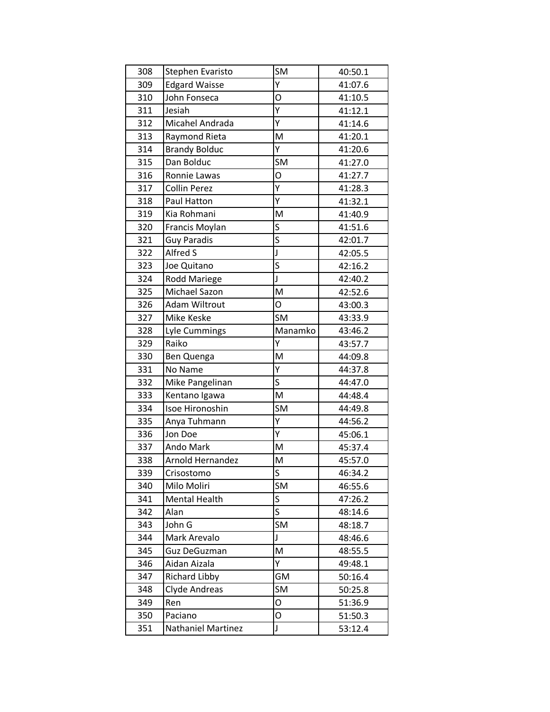| 308 | Stephen Evaristo        | SM          | 40:50.1 |
|-----|-------------------------|-------------|---------|
| 309 | <b>Edgard Waisse</b>    | Ý           | 41:07.6 |
| 310 | John Fonseca            | O           | 41:10.5 |
| 311 | Jesiah                  | Υ           | 41:12.1 |
| 312 | Micahel Andrada         | Y           | 41:14.6 |
| 313 | Raymond Rieta           | M           | 41:20.1 |
| 314 | <b>Brandy Bolduc</b>    | Y           | 41:20.6 |
| 315 | Dan Bolduc              | <b>SM</b>   | 41:27.0 |
| 316 | Ronnie Lawas            | O           | 41:27.7 |
| 317 | <b>Collin Perez</b>     | Y           | 41:28.3 |
| 318 | Paul Hatton             | Υ           | 41:32.1 |
| 319 | Kia Rohmani             | M           | 41:40.9 |
| 320 | Francis Moylan          | S           | 41:51.6 |
| 321 | <b>Guy Paradis</b>      | S           | 42:01.7 |
| 322 | Alfred S                | J           | 42:05.5 |
| 323 | Joe Quitano             | S           | 42:16.2 |
| 324 | <b>Rodd Mariege</b>     | J           | 42:40.2 |
| 325 | Michael Sazon           | M           | 42:52.6 |
| 326 | <b>Adam Wiltrout</b>    | O           | 43:00.3 |
| 327 | Mike Keske              | <b>SM</b>   | 43:33.9 |
| 328 | Lyle Cummings           | Manamko     | 43:46.2 |
| 329 | Raiko                   | Ý           | 43:57.7 |
| 330 | Ben Quenga              | M           | 44:09.8 |
| 331 | No Name                 | Υ           | 44:37.8 |
| 332 | Mike Pangelinan         | S           | 44:47.0 |
| 333 | Kentano Igawa           | M           | 44:48.4 |
| 334 | Isoe Hironoshin         | SM          | 44:49.8 |
| 335 | Anya Tuhmann            | Υ           | 44:56.2 |
| 336 | Jon Doe                 | Υ           | 45:06.1 |
| 337 | Ando Mark               | M           | 45:37.4 |
| 338 | <b>Arnold Hernandez</b> | M           | 45:57.0 |
| 339 | Crisostomo              | S           | 46:34.2 |
| 340 | Milo Moliri             | SM          | 46:55.6 |
| 341 | <b>Mental Health</b>    | S           | 47:26.2 |
| 342 | Alan                    | $\mathsf S$ | 48:14.6 |
| 343 | John G                  | SM          | 48:18.7 |
| 344 | Mark Arevalo            | J           | 48:46.6 |
| 345 | <b>Guz DeGuzman</b>     | M           | 48:55.5 |
| 346 | Aidan Aizala            | Y           | 49:48.1 |
| 347 | <b>Richard Libby</b>    | GM          | 50:16.4 |
| 348 | Clyde Andreas           | SM          | 50:25.8 |
| 349 | Ren                     | O           | 51:36.9 |
| 350 | Paciano                 | O           | 51:50.3 |
| 351 | Nathaniel Martinez      | J           | 53:12.4 |